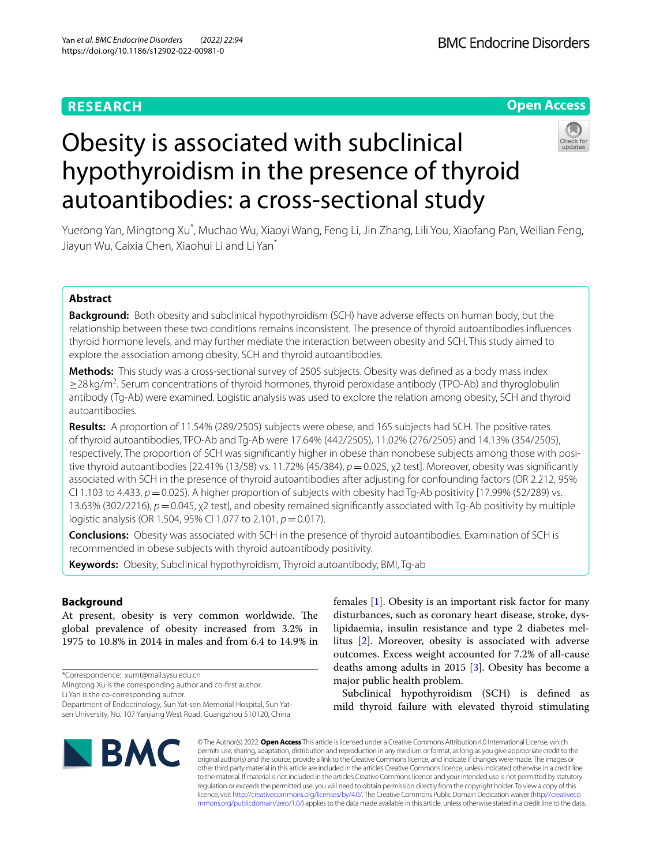# **RESEARCH**

## **Open Access**

# Obesity is associated with subclinical hypothyroidism in the presence of thyroid autoantibodies: a cross-sectional study



Yuerong Yan, Mingtong Xu\* , Muchao Wu, Xiaoyi Wang, Feng Li, Jin Zhang, Lili You, Xiaofang Pan, Weilian Feng, Jiayun Wu, Caixia Chen, Xiaohui Li and Li Yan\*

## **Abstract**

**Background:** Both obesity and subclinical hypothyroidism (SCH) have adverse effects on human body, but the relationship between these two conditions remains inconsistent. The presence of thyroid autoantibodies infuences thyroid hormone levels, and may further mediate the interaction between obesity and SCH. This study aimed to explore the association among obesity, SCH and thyroid autoantibodies.

**Methods:** This study was a cross-sectional survey of 2505 subjects. Obesity was defned as a body mass index ≥28 kg/m<sup>2</sup>. Serum concentrations of thyroid hormones, thyroid peroxidase antibody (TPO-Ab) and thyroglobulin antibody (Tg-Ab) were examined. Logistic analysis was used to explore the relation among obesity, SCH and thyroid autoantibodies.

**Results:** A proportion of 11.54% (289/2505) subjects were obese, and 165 subjects had SCH. The positive rates of thyroid autoantibodies, TPO-Ab and Tg-Ab were 17.64% (442/2505), 11.02% (276/2505) and 14.13% (354/2505), respectively. The proportion of SCH was signifcantly higher in obese than nonobese subjects among those with positive thyroid autoantibodies [22.41% (13/58) vs. 11.72% (45/384),  $p=0.025$ , χ2 test]. Moreover, obesity was significantly associated with SCH in the presence of thyroid autoantibodies after adjusting for confounding factors (OR 2.212, 95% CI 1.103 to 4.433, *p*=0.025). A higher proportion of subjects with obesity had Tg-Ab positivity [17.99% (52/289) vs. 13.63% (302/2216), *p*=0.045, χ2 test], and obesity remained signifcantly associated with Tg-Ab positivity by multiple logistic analysis (OR 1.504, 95% CI 1.077 to 2.101,  $p = 0.017$ ).

**Conclusions:** Obesity was associated with SCH in the presence of thyroid autoantibodies. Examination of SCH is recommended in obese subjects with thyroid autoantibody positivity.

**Keywords:** Obesity, Subclinical hypothyroidism, Thyroid autoantibody, BMI, Tg-ab

## **Background**

At present, obesity is very common worldwide. The global prevalence of obesity increased from 3.2% in 1975 to 10.8% in 2014 in males and from 6.4 to 14.9% in

\*Correspondence: xumt@mail.sysu.edu.cn

Mingtong Xu is the corresponding author and co-frst author.

Li Yan is the co-corresponding author.

Department of Endocrinology, Sun Yat-sen Memorial Hospital, Sun Yatsen University, No. 107 Yanjiang West Road, Guangzhou 510120, China

females [[1\]](#page-6-0). Obesity is an important risk factor for many disturbances, such as coronary heart disease, stroke, dyslipidaemia, insulin resistance and type 2 diabetes mellitus [\[2](#page-6-1)]. Moreover, obesity is associated with adverse outcomes. Excess weight accounted for 7.2% of all-cause deaths among adults in 2015  $[3]$  $[3]$ . Obesity has become a major public health problem.

Subclinical hypothyroidism (SCH) is defned as mild thyroid failure with elevated thyroid stimulating



© The Author(s) 2022. **Open Access** This article is licensed under a Creative Commons Attribution 4.0 International License, which permits use, sharing, adaptation, distribution and reproduction in any medium or format, as long as you give appropriate credit to the original author(s) and the source, provide a link to the Creative Commons licence, and indicate if changes were made. The images or other third party material in this article are included in the article's Creative Commons licence, unless indicated otherwise in a credit line to the material. If material is not included in the article's Creative Commons licence and your intended use is not permitted by statutory regulation or exceeds the permitted use, you will need to obtain permission directly from the copyright holder. To view a copy of this licence, visit [http://creativecommons.org/licenses/by/4.0/.](http://creativecommons.org/licenses/by/4.0/) The Creative Commons Public Domain Dedication waiver ([http://creativeco](http://creativecommons.org/publicdomain/zero/1.0/) [mmons.org/publicdomain/zero/1.0/](http://creativecommons.org/publicdomain/zero/1.0/)) applies to the data made available in this article, unless otherwise stated in a credit line to the data.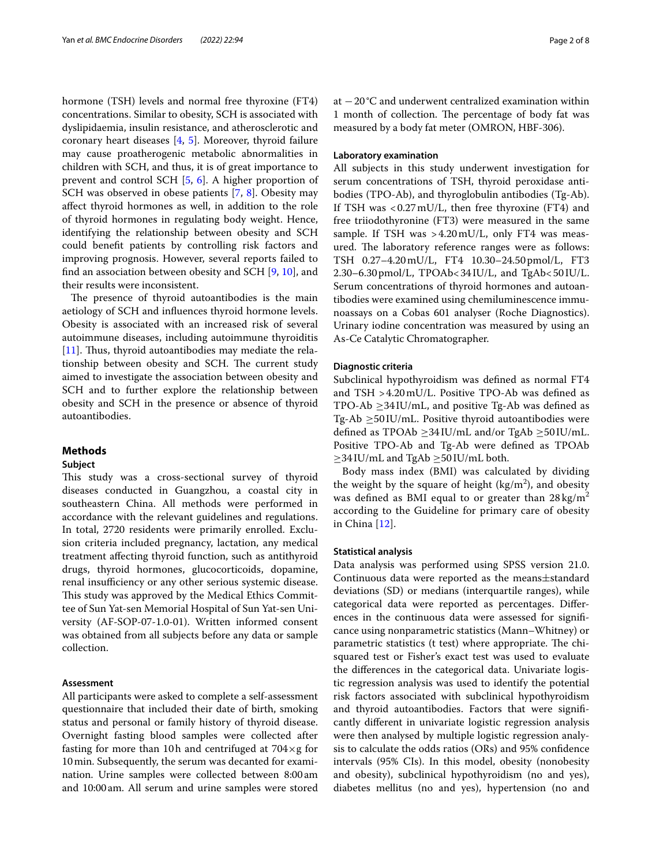hormone (TSH) levels and normal free thyroxine (FT4) concentrations. Similar to obesity, SCH is associated with dyslipidaemia, insulin resistance, and atherosclerotic and coronary heart diseases [[4](#page-6-3), [5](#page-6-4)]. Moreover, thyroid failure may cause proatherogenic metabolic abnormalities in children with SCH, and thus, it is of great importance to prevent and control SCH [\[5](#page-6-4), [6\]](#page-6-5). A higher proportion of SCH was observed in obese patients [[7,](#page-6-6) [8](#page-6-7)]. Obesity may afect thyroid hormones as well, in addition to the role of thyroid hormones in regulating body weight. Hence, identifying the relationship between obesity and SCH could beneft patients by controlling risk factors and improving prognosis. However, several reports failed to fnd an association between obesity and SCH [[9,](#page-6-8) [10](#page-6-9)], and their results were inconsistent.

The presence of thyroid autoantibodies is the main aetiology of SCH and infuences thyroid hormone levels. Obesity is associated with an increased risk of several autoimmune diseases, including autoimmune thyroiditis  $[11]$  $[11]$ . Thus, thyroid autoantibodies may mediate the relationship between obesity and SCH. The current study aimed to investigate the association between obesity and SCH and to further explore the relationship between obesity and SCH in the presence or absence of thyroid autoantibodies.

## **Methods**

## **Subject**

This study was a cross-sectional survey of thyroid diseases conducted in Guangzhou, a coastal city in southeastern China. All methods were performed in accordance with the relevant guidelines and regulations. In total, 2720 residents were primarily enrolled. Exclusion criteria included pregnancy, lactation, any medical treatment afecting thyroid function, such as antithyroid drugs, thyroid hormones, glucocorticoids, dopamine, renal insufficiency or any other serious systemic disease. This study was approved by the Medical Ethics Committee of Sun Yat-sen Memorial Hospital of Sun Yat-sen University (AF-SOP-07-1.0-01). Written informed consent was obtained from all subjects before any data or sample collection.

## **Assessment**

All participants were asked to complete a self-assessment questionnaire that included their date of birth, smoking status and personal or family history of thyroid disease. Overnight fasting blood samples were collected after fasting for more than 10h and centrifuged at  $704 \times g$  for 10min. Subsequently, the serum was decanted for examination. Urine samples were collected between 8:00 am and 10:00am. All serum and urine samples were stored at −20°C and underwent centralized examination within 1 month of collection. The percentage of body fat was measured by a body fat meter (OMRON, HBF-306).

## **Laboratory examination**

All subjects in this study underwent investigation for serum concentrations of TSH, thyroid peroxidase antibodies (TPO-Ab), and thyroglobulin antibodies (Tg-Ab). If TSH was <0.27mU/L, then free thyroxine (FT4) and free triiodothyronine (FT3) were measured in the same sample. If TSH was >4.20 mU/L, only FT4 was measured. The laboratory reference ranges were as follows: TSH 0.27–4.20mU/L, FT4 10.30–24.50pmol/L, FT3 2.30–6.30pmol/L, TPOAb<34IU/L, and TgAb<50IU/L. Serum concentrations of thyroid hormones and autoantibodies were examined using chemiluminescence immunoassays on a Cobas 601 analyser (Roche Diagnostics). Urinary iodine concentration was measured by using an As-Ce Catalytic Chromatographer.

## **Diagnostic criteria**

Subclinical hypothyroidism was defned as normal FT4 and TSH >4.20mU/L. Positive TPO-Ab was defned as TPO-Ab  $\geq$ 34IU/mL, and positive Tg-Ab was defined as Tg-Ab  $\geq$ 50IU/mL. Positive thyroid autoantibodies were defined as TPOAb  $\geq$ 34 IU/mL and/or TgAb  $\geq$ 50 IU/mL. Positive TPO-Ab and Tg-Ab were defned as TPOAb ≥34IU/mL and TgAb ≥50IU/mL both.

Body mass index (BMI) was calculated by dividing the weight by the square of height  $(kg/m<sup>2</sup>)$ , and obesity was defined as BMI equal to or greater than  $28 \text{ kg/m}^2$ according to the Guideline for primary care of obesity in China [\[12](#page-7-0)].

#### **Statistical analysis**

Data analysis was performed using SPSS version 21.0. Continuous data were reported as the means±standard deviations (SD) or medians (interquartile ranges), while categorical data were reported as percentages. Diferences in the continuous data were assessed for signifcance using nonparametric statistics (Mann–Whitney) or parametric statistics (t test) where appropriate. The chisquared test or Fisher's exact test was used to evaluate the diferences in the categorical data. Univariate logistic regression analysis was used to identify the potential risk factors associated with subclinical hypothyroidism and thyroid autoantibodies. Factors that were signifcantly diferent in univariate logistic regression analysis were then analysed by multiple logistic regression analysis to calculate the odds ratios (ORs) and 95% confdence intervals (95% CIs). In this model, obesity (nonobesity and obesity), subclinical hypothyroidism (no and yes), diabetes mellitus (no and yes), hypertension (no and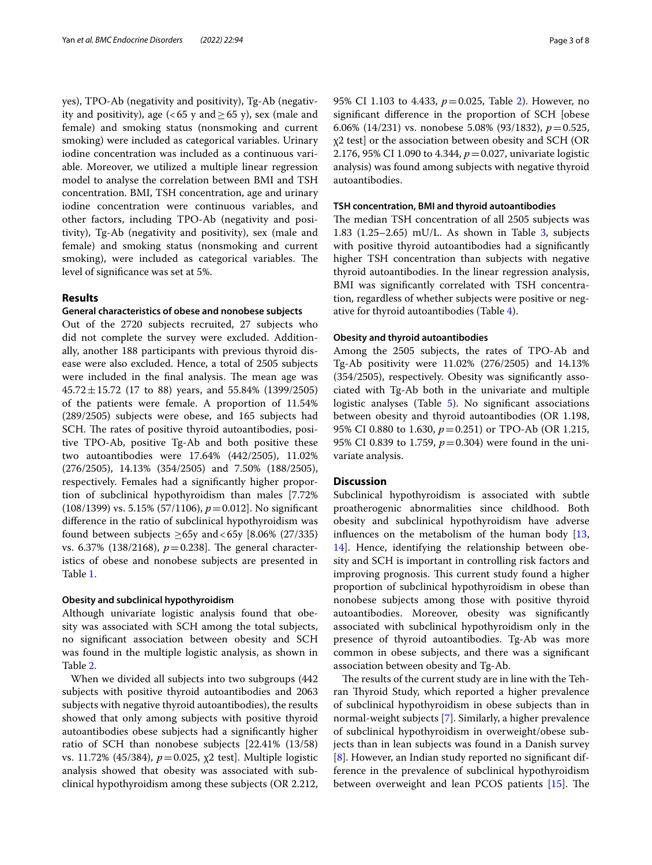yes), TPO-Ab (negativity and positivity), Tg-Ab (negativity and positivity), age (<65 y and  $\geq$  65 y), sex (male and female) and smoking status (nonsmoking and current smoking) were included as categorical variables. Urinary iodine concentration was included as a continuous variable. Moreover, we utilized a multiple linear regression model to analyse the correlation between BMI and TSH concentration. BMI, TSH concentration, age and urinary iodine concentration were continuous variables, and other factors, including TPO-Ab (negativity and positivity), Tg-Ab (negativity and positivity), sex (male and female) and smoking status (nonsmoking and current smoking), were included as categorical variables. The level of signifcance was set at 5%.

## **Results**

## **General characteristics of obese and nonobese subjects**

Out of the 2720 subjects recruited, 27 subjects who did not complete the survey were excluded. Additionally, another 188 participants with previous thyroid disease were also excluded. Hence, a total of 2505 subjects were included in the final analysis. The mean age was  $45.72 \pm 15.72$  (17 to 88) years, and 55.84% (1399/2505) of the patients were female. A proportion of 11.54% (289/2505) subjects were obese, and 165 subjects had SCH. The rates of positive thyroid autoantibodies, positive TPO-Ab, positive Tg-Ab and both positive these two autoantibodies were 17.64% (442/2505), 11.02% (276/2505), 14.13% (354/2505) and 7.50% (188/2505), respectively. Females had a signifcantly higher proportion of subclinical hypothyroidism than males [7.72% (108/1399) vs. 5.15% (57/1106), *p*=0.012]. No signifcant diference in the ratio of subclinical hypothyroidism was found between subjects  $\geq$ 65y and <65y [8.06% (27/335) vs. 6.37% (138/2168),  $p=0.238$ ]. The general characteristics of obese and nonobese subjects are presented in Table [1](#page-3-0).

## **Obesity and subclinical hypothyroidism**

Although univariate logistic analysis found that obesity was associated with SCH among the total subjects, no signifcant association between obesity and SCH was found in the multiple logistic analysis, as shown in Table [2](#page-4-0).

When we divided all subjects into two subgroups (442 subjects with positive thyroid autoantibodies and 2063 subjects with negative thyroid autoantibodies), the results showed that only among subjects with positive thyroid autoantibodies obese subjects had a signifcantly higher ratio of SCH than nonobese subjects [22.41% (13/58) vs. 11.72% (45/384), *p*=0.025, χ2 test]. Multiple logistic analysis showed that obesity was associated with subclinical hypothyroidism among these subjects (OR 2.212,

95% CI 1.103 to 4.433, *p*=0.025, Table [2](#page-4-0)). However, no signifcant diference in the proportion of SCH [obese 6.06% (14/231) vs. nonobese 5.08% (93/1832), *p*=0.525, χ2 test] or the association between obesity and SCH (OR 2.176, 95% CI 1.090 to 4.344, *p*=0.027, univariate logistic analysis) was found among subjects with negative thyroid autoantibodies.

## **TSH concentration, BMI and thyroid autoantibodies**

The median TSH concentration of all 2505 subjects was 1.83 (1.25–2.65) mU/L. As shown in Table  $3$ , subjects with positive thyroid autoantibodies had a signifcantly higher TSH concentration than subjects with negative thyroid autoantibodies. In the linear regression analysis, BMI was signifcantly correlated with TSH concentration, regardless of whether subjects were positive or negative for thyroid autoantibodies (Table [4](#page-5-0)).

## **Obesity and thyroid autoantibodies**

Among the 2505 subjects, the rates of TPO-Ab and Tg-Ab positivity were 11.02% (276/2505) and 14.13% (354/2505), respectively. Obesity was signifcantly associated with Tg-Ab both in the univariate and multiple logistic analyses (Table [5\)](#page-5-1). No significant associations between obesity and thyroid autoantibodies (OR 1.198, 95% CI 0.880 to 1.630, *p*=0.251) or TPO-Ab (OR 1.215, 95% CI 0.839 to 1.759,  $p = 0.304$ ) were found in the univariate analysis.

## **Discussion**

Subclinical hypothyroidism is associated with subtle proatherogenic abnormalities since childhood. Both obesity and subclinical hypothyroidism have adverse infuences on the metabolism of the human body [[13](#page-7-1), [14\]](#page-7-2). Hence, identifying the relationship between obesity and SCH is important in controlling risk factors and improving prognosis. This current study found a higher proportion of subclinical hypothyroidism in obese than nonobese subjects among those with positive thyroid autoantibodies. Moreover, obesity was signifcantly associated with subclinical hypothyroidism only in the presence of thyroid autoantibodies. Tg-Ab was more common in obese subjects, and there was a signifcant association between obesity and Tg-Ab.

The results of the current study are in line with the Tehran Thyroid Study, which reported a higher prevalence of subclinical hypothyroidism in obese subjects than in normal-weight subjects [\[7](#page-6-6)]. Similarly, a higher prevalence of subclinical hypothyroidism in overweight/obese subjects than in lean subjects was found in a Danish survey [[8\]](#page-6-7). However, an Indian study reported no significant difference in the prevalence of subclinical hypothyroidism between overweight and lean PCOS patients  $[15]$  $[15]$  $[15]$ . The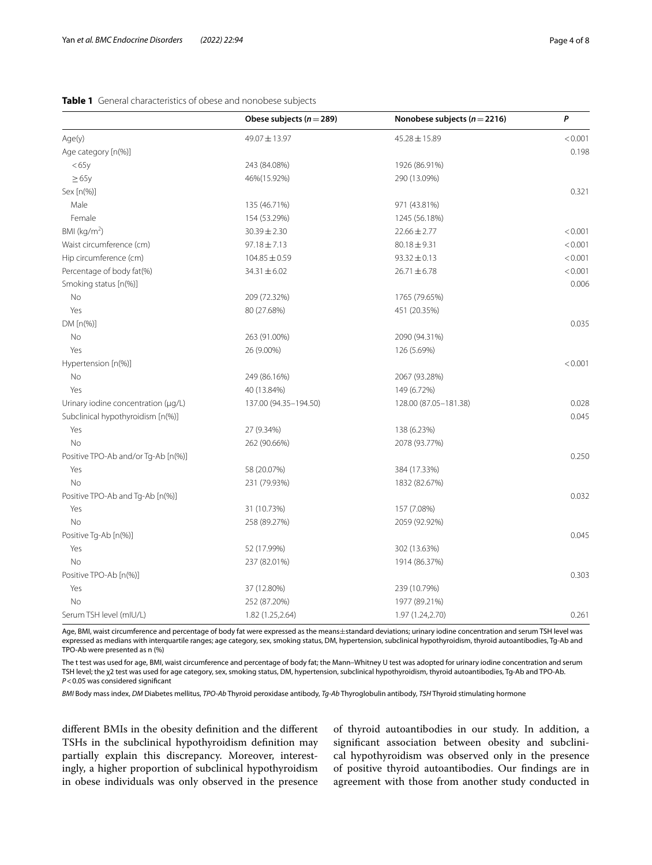## <span id="page-3-0"></span>**Table 1** General characteristics of obese and nonobese subjects

|                                     | Obese subjects ( $n = 289$ ) | Nonobese subjects ( $n = 2216$ ) | P       |
|-------------------------------------|------------------------------|----------------------------------|---------|
| Age(y)                              | 49.07±13.97                  | 45.28 ± 15.89                    | < 0.001 |
| Age category [n(%)]                 |                              |                                  | 0.198   |
| < 65y                               | 243 (84.08%)                 | 1926 (86.91%)                    |         |
| $\geq 65y$                          | 46%(15.92%)                  | 290 (13.09%)                     |         |
| Sex [n(%)]                          |                              |                                  | 0.321   |
| Male                                | 135 (46.71%)                 | 971 (43.81%)                     |         |
| Female                              | 154 (53.29%)                 | 1245 (56.18%)                    |         |
| BMI (kg/m <sup>2</sup> )            | $30.39 \pm 2.30$             | $22.66 \pm 2.77$                 | < 0.001 |
| Waist circumference (cm)            | $97.18 \pm 7.13$             | $80.18 \pm 9.31$                 | < 0.001 |
| Hip circumference (cm)              | $104.85 \pm 0.59$            | $93.32 \pm 0.13$                 | < 0.001 |
| Percentage of body fat(%)           | $34.31 \pm 6.02$             | $26.71 \pm 6.78$                 | < 0.001 |
| Smoking status [n(%)]               |                              |                                  | 0.006   |
| No                                  | 209 (72.32%)                 | 1765 (79.65%)                    |         |
| Yes                                 | 80 (27.68%)                  | 451 (20.35%)                     |         |
| DM [n(%)]                           |                              |                                  | 0.035   |
| No                                  | 263 (91.00%)                 | 2090 (94.31%)                    |         |
| Yes                                 | 26 (9.00%)                   | 126 (5.69%)                      |         |
| Hypertension [n(%)]                 |                              |                                  | < 0.001 |
| No                                  | 249 (86.16%)                 | 2067 (93.28%)                    |         |
| Yes                                 | 40 (13.84%)                  | 149 (6.72%)                      |         |
| Urinary iodine concentration (µg/L) | 137.00 (94.35-194.50)        | 128.00 (87.05-181.38)            | 0.028   |
| Subclinical hypothyroidism [n(%)]   |                              |                                  | 0.045   |
| Yes                                 | 27 (9.34%)                   | 138 (6.23%)                      |         |
| No                                  | 262 (90.66%)                 | 2078 (93.77%)                    |         |
| Positive TPO-Ab and/or Tg-Ab [n(%)] |                              |                                  | 0.250   |
| Yes                                 | 58 (20.07%)                  | 384 (17.33%)                     |         |
| <b>No</b>                           | 231 (79.93%)                 | 1832 (82.67%)                    |         |
| Positive TPO-Ab and Tg-Ab [n(%)]    |                              |                                  | 0.032   |
| Yes                                 | 31 (10.73%)                  | 157 (7.08%)                      |         |
| <b>No</b>                           | 258 (89.27%)                 | 2059 (92.92%)                    |         |
| Positive Tg-Ab [n(%)]               |                              |                                  | 0.045   |
| Yes                                 | 52 (17.99%)                  | 302 (13.63%)                     |         |
| No                                  | 237 (82.01%)                 | 1914 (86.37%)                    |         |
| Positive TPO-Ab [n(%)]              |                              |                                  | 0.303   |
| Yes                                 | 37 (12.80%)                  | 239 (10.79%)                     |         |
| No                                  | 252 (87.20%)                 | 1977 (89.21%)                    |         |
| Serum TSH level (mIU/L)             | 1.82 (1.25,2.64)             | 1.97 (1.24,2.70)                 | 0.261   |

Age, BMI, waist circumference and percentage of body fat were expressed as the means±standard deviations; urinary iodine concentration and serum TSH level was expressed as medians with interquartile ranges; age category, sex, smoking status, DM, hypertension, subclinical hypothyroidism, thyroid autoantibodies, Tg-Ab and TPO-Ab were presented as n (%)

The t test was used for age, BMI, waist circumference and percentage of body fat; the Mann–Whitney U test was adopted for urinary iodine concentration and serum TSH level; the χ2 test was used for age category, sex, smoking status, DM, hypertension, subclinical hypothyroidism, thyroid autoantibodies, Tg-Ab and TPO-Ab. *P*<0.05 was considered signifcant

*BMI* Body mass index, *DM* Diabetes mellitus, *TPO-Ab* Thyroid peroxidase antibody, *Tg-Ab* Thyroglobulin antibody, *TSH* Thyroid stimulating hormone

diferent BMIs in the obesity defnition and the diferent TSHs in the subclinical hypothyroidism defnition may partially explain this discrepancy. Moreover, interestingly, a higher proportion of subclinical hypothyroidism in obese individuals was only observed in the presence of thyroid autoantibodies in our study. In addition, a signifcant association between obesity and subclinical hypothyroidism was observed only in the presence of positive thyroid autoantibodies. Our fndings are in agreement with those from another study conducted in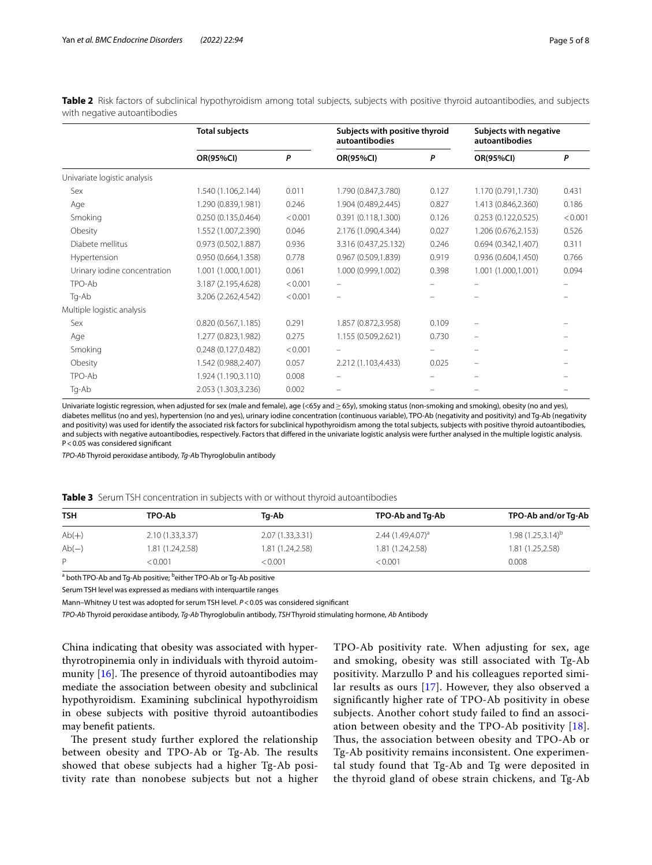|                              | <b>Total subjects</b> |         | Subjects with positive thyroid<br>autoantibodies |       | Subjects with negative<br>autoantibodies |         |
|------------------------------|-----------------------|---------|--------------------------------------------------|-------|------------------------------------------|---------|
|                              | OR(95%CI)             | P       | OR(95%CI)                                        | P     | OR(95%CI)                                | P       |
| Univariate logistic analysis |                       |         |                                                  |       |                                          |         |
| Sex                          | 1.540 (1.106,2.144)   | 0.011   | 1.790 (0.847,3.780)                              | 0.127 | 1.170 (0.791,1.730)                      | 0.431   |
| Age                          | 1.290 (0.839,1.981)   | 0.246   | 1.904 (0.489,2.445)                              | 0.827 | 1.413 (0.846,2.360)                      | 0.186   |
| Smoking                      | 0.250(0.135, 0.464)   | < 0.001 | 0.391(0.118, 1.300)                              | 0.126 | 0.253(0.122, 0.525)                      | < 0.001 |
| Obesity                      | 1.552 (1.007,2.390)   | 0.046   | 2.176 (1.090,4.344)                              | 0.027 | 1.206 (0.676,2.153)                      | 0.526   |
| Diabete mellitus             | 0.973 (0.502,1.887)   | 0.936   | 3.316 (0.437,25.132)                             | 0.246 | 0.694(0.342, 1.407)                      | 0.311   |
| Hypertension                 | 0.950(0.664, 1.358)   | 0.778   | 0.967(0.509, 1.839)                              | 0.919 | 0.936(0.604, 1.450)                      | 0.766   |
| Urinary iodine concentration | 1.001 (1.000,1.001)   | 0.061   | 1.000 (0.999,1.002)                              | 0.398 | 1.001 (1.000,1.001)                      | 0.094   |
| TPO-Ab                       | 3.187 (2.195,4.628)   | < 0.001 |                                                  |       |                                          |         |
| Tg-Ab                        | 3.206 (2.262,4.542)   | < 0.001 |                                                  |       |                                          |         |
| Multiple logistic analysis   |                       |         |                                                  |       |                                          |         |
| Sex                          | 0.820(0.567,1.185)    | 0.291   | 1.857 (0.872,3.958)                              | 0.109 |                                          |         |
| Age                          | 1.277 (0.823,1.982)   | 0.275   | 1.155 (0.509,2.621)                              | 0.730 | -                                        |         |
| Smoking                      | 0.248(0.127, 0.482)   | < 0.001 |                                                  |       |                                          |         |
| Obesity                      | 1.542 (0.988,2.407)   | 0.057   | 2.212 (1.103,4.433)                              | 0.025 |                                          |         |
| TPO-Ab                       | 1.924 (1.190,3.110)   | 0.008   |                                                  |       |                                          |         |
| Tg-Ab                        | 2.053 (1.303,3.236)   | 0.002   |                                                  |       |                                          |         |

<span id="page-4-0"></span>**Table 2** Risk factors of subclinical hypothyroidism among total subjects, subjects with positive thyroid autoantibodies, and subjects with negative autoantibodies

Univariate logistic regression, when adjusted for sex (male and female), age (<65y and≥65y), smoking status (non-smoking and smoking), obesity (no and yes), diabetes mellitus (no and yes), hypertension (no and yes), urinary iodine concentration (continuous variable), TPO-Ab (negativity and positivity) and Tg-Ab (negativity and positivity) was used for identify the associated risk factors for subclinical hypothyroidism among the total subjects, subjects with positive thyroid autoantibodies, and subjects with negative autoantibodies, respectively. Factors that difered in the univariate logistic analysis were further analysed in the multiple logistic analysis. P<0.05 was considered signifcant

*TPO-Ab* Thyroid peroxidase antibody, *Tg-A*b Thyroglobulin antibody

<span id="page-4-1"></span>

|  |  | Table 3 Serum TSH concentration in subjects with or without thyroid autoantibodies |  |  |  |  |
|--|--|------------------------------------------------------------------------------------|--|--|--|--|
|--|--|------------------------------------------------------------------------------------|--|--|--|--|

| <b>TSH</b> | TPO-Ab           | Tq-Ab            | TPO-Ab and Tq-Ab    | TPO-Ab and/or Tg-Ab           |
|------------|------------------|------------------|---------------------|-------------------------------|
| $Ab(+)$    | 2.10(1.33,3.37)  | 2.07(1.33,3.31)  | $2.44(1.49,4.07)^a$ | 1.98 (1.25,3.14) <sup>b</sup> |
| $Ab(-)$    | 1.81 (1.24,2.58) | 1.81 (1.24,2.58) | 1.81 (1.24,2.58)    | 1.81 (1.25,2.58)              |
| P          | < 0.001          | < 0.001          | < 0.001             | 0.008                         |

<sup>a</sup> both TPO-Ab and Tg-Ab positive; <sup>b</sup>either TPO-Ab or Tg-Ab positive

Serum TSH level was expressed as medians with interquartile ranges

Mann–Whitney U test was adopted for serum TSH level. *P*<0.05 was considered signifcant

*TPO-Ab* Thyroid peroxidase antibody, *Tg-Ab* Thyroglobulin antibody, *TSH* Thyroid stimulating hormone, *Ab* Antibody

China indicating that obesity was associated with hyperthyrotropinemia only in individuals with thyroid autoimmunity  $[16]$  $[16]$ . The presence of thyroid autoantibodies may mediate the association between obesity and subclinical hypothyroidism. Examining subclinical hypothyroidism in obese subjects with positive thyroid autoantibodies may beneft patients.

The present study further explored the relationship between obesity and TPO-Ab or Tg-Ab. The results showed that obese subjects had a higher Tg-Ab positivity rate than nonobese subjects but not a higher TPO-Ab positivity rate. When adjusting for sex, age and smoking, obesity was still associated with Tg-Ab positivity. Marzullo P and his colleagues reported similar results as ours [\[17](#page-7-5)]. However, they also observed a signifcantly higher rate of TPO-Ab positivity in obese subjects. Another cohort study failed to fnd an association between obesity and the TPO-Ab positivity [[18](#page-7-6)]. Thus, the association between obesity and TPO-Ab or Tg-Ab positivity remains inconsistent. One experimental study found that Tg-Ab and Tg were deposited in the thyroid gland of obese strain chickens, and Tg-Ab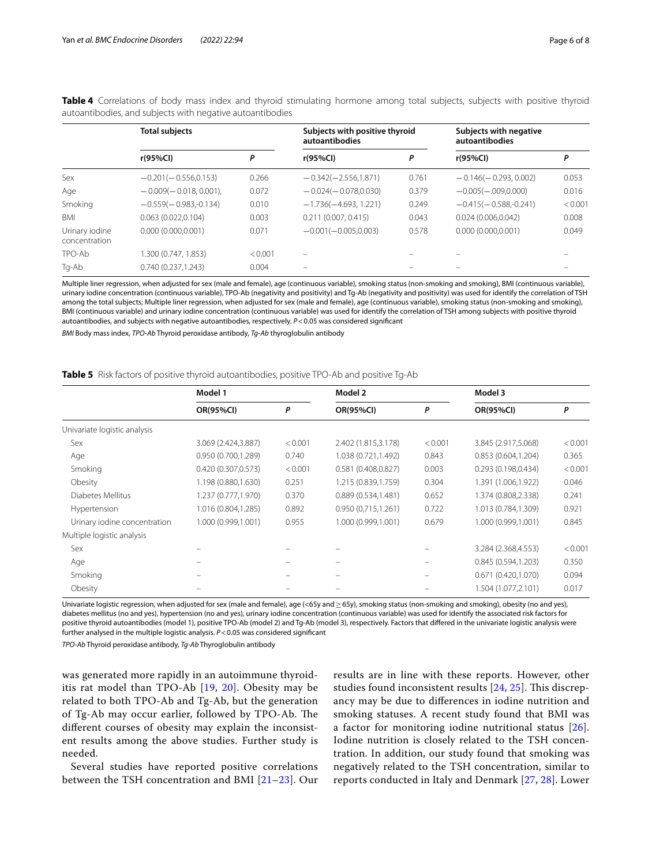|                                 | <b>Total subjects</b>   |         | Subjects with positive thyroid<br>autoantibodies |       | Subjects with negative<br>autoantibodies |         |
|---------------------------------|-------------------------|---------|--------------------------------------------------|-------|------------------------------------------|---------|
|                                 | r(95%Cl)                | Ρ       | r(95%Cl)                                         | P     | r(95%Cl)                                 | Ρ       |
| Sex                             | $-0.201(-0.556, 0.153)$ | 0.266   | $-0.342(-2.556, 1.871)$                          | 0.761 | $-0.146(-0.293, 0.002)$                  | 0.053   |
| Age                             | $-0.009(-0.018, 0.001)$ | 0.072   | $-0.024(-0.078.0.030)$                           | 0.379 | $-0.005(-0.009, 0.000)$                  | 0.016   |
| Smoking                         | $-0.559(-0.983,-0.134)$ | 0.010   | $-1.736(-4.693.1.221)$                           | 0.249 | $-0.415(-0.588,-0.241)$                  | < 0.001 |
| <b>BMI</b>                      | 0.063(0.022,0.104)      | 0.003   | 0.211(0.007, 0.415)                              | 0.043 | 0.024(0.006, 0.042)                      | 0.008   |
| Urinary iodine<br>concentration | 0.000(0.000.0.001)      | 0.071   | $-0.001(-0.005.0.003)$                           | 0.578 | 0.000(0.000.0.001)                       | 0.049   |
| TPO-Ab                          | .300 (0.747, 1.853)     | < 0.001 | $\overline{\phantom{0}}$                         |       |                                          |         |
| Tg-Ab                           | 0.740(0.237.1.243)      | 0.004   | -                                                |       |                                          |         |

<span id="page-5-0"></span>Table 4 Correlations of body mass index and thyroid stimulating hormone among total subjects, subjects with positive thyroid autoantibodies, and subjects with negative autoantibodies

Multiple liner regression, when adjusted for sex (male and female), age (continuous variable), smoking status (non-smoking and smoking), BMI (continuous variable), urinary iodine concentration (continuous variable), TPO-Ab (negativity and positivity) and Tg-Ab (negativity and positivity) was used for identify the correlation of TSH among the total subjects; Multiple liner regression, when adjusted for sex (male and female), age (continuous variable), smoking status (non-smoking and smoking), BMI (continuous variable) and urinary iodine concentration (continuous variable) was used for identify the correlation of TSH among subjects with positive thyroid autoantibodies, and subjects with negative autoantibodies, respectively. *P*<0.05 was considered signifcant

*BMI* Body mass index, *TPO-Ab* Thyroid peroxidase antibody, *Tg-Ab* thyroglobulin antibody

| Model 1             |         | Model 2             |         | Model 3             |         |
|---------------------|---------|---------------------|---------|---------------------|---------|
| OR(95%CI)           | P       | OR(95%CI)           | P       | <b>OR(95%CI)</b>    | P       |
|                     |         |                     |         |                     |         |
| 3.069 (2.424,3.887) | < 0.001 | 2.402 (1.815,3.178) | < 0.001 | 3.845 (2.917,5.068) | < 0.001 |
| 0.950(0.700, 1.289) | 0.740   | 1.038 (0.721,1.492) | 0.843   | 0.853(0.604, 1.204) | 0.365   |
| 0.420 (0.307,0.573) | < 0.001 | 0.581 (0.408,0.827) | 0.003   | 0.293(0.198, 0.434) | < 0.001 |
| 1.198 (0.880,1.630) | 0.251   | 1.215 (0.839,1.759) | 0.304   | 1.391 (1.006,1.922) | 0.046   |
| 1.237 (0.777,1.970) | 0.370   | 0.889(0.534,1.481)  | 0.652   | 1.374 (0.808,2.338) | 0.241   |
| 1.016 (0.804,1.285) | 0.892   | 0.950(0.715, 1.261) | 0.722   | 1.013 (0.784,1.309) | 0.921   |
| 1.000 (0.999,1.001) | 0.955   | 1.000 (0.999,1.001) | 0.679   | 1.000 (0.999,1.001) | 0.845   |
|                     |         |                     |         |                     |         |
|                     |         |                     |         | 3.284 (2.368,4.553) | < 0.001 |
|                     |         |                     |         | 0.845(0.594,1.203)  | 0.350   |
|                     |         |                     |         | 0.671(0.420, 1.070) | 0.094   |
|                     |         |                     |         | 1.504 (1.077,2.101) | 0.017   |
|                     |         |                     |         |                     |         |

<span id="page-5-1"></span>**Table 5** Risk factors of positive thyroid autoantibodies, positive TPO-Ab and positive Tg-Ab

Univariate logistic regression, when adjusted for sex (male and female), age (<65y and≥65y), smoking status (non-smoking and smoking), obesity (no and yes), diabetes mellitus (no and yes), hypertension (no and yes), urinary iodine concentration (continuous variable) was used for identify the associated risk factors for positive thyroid autoantibodies (model 1), positive TPO-Ab (model 2) and Tg-Ab (model 3), respectively. Factors that difered in the univariate logistic analysis were further analysed in the multiple logistic analysis. *P*<0.05 was considered signifcant

*TPO-Ab* Thyroid peroxidase antibody, *Tg-Ab* Thyroglobulin antibody

was generated more rapidly in an autoimmune thyroiditis rat model than TPO-Ab [\[19,](#page-7-7) [20\]](#page-7-8). Obesity may be related to both TPO-Ab and Tg-Ab, but the generation of Tg-Ab may occur earlier, followed by TPO-Ab. The diferent courses of obesity may explain the inconsistent results among the above studies. Further study is needed.

Several studies have reported positive correlations between the TSH concentration and BMI [[21–](#page-7-9)[23\]](#page-7-10). Our

results are in line with these reports. However, other studies found inconsistent results [[24](#page-7-11), [25\]](#page-7-12). This discrepancy may be due to diferences in iodine nutrition and smoking statuses. A recent study found that BMI was a factor for monitoring iodine nutritional status [[26](#page-7-13)]. Iodine nutrition is closely related to the TSH concentration. In addition, our study found that smoking was negatively related to the TSH concentration, similar to reports conducted in Italy and Denmark [\[27](#page-7-14), [28](#page-7-15)]. Lower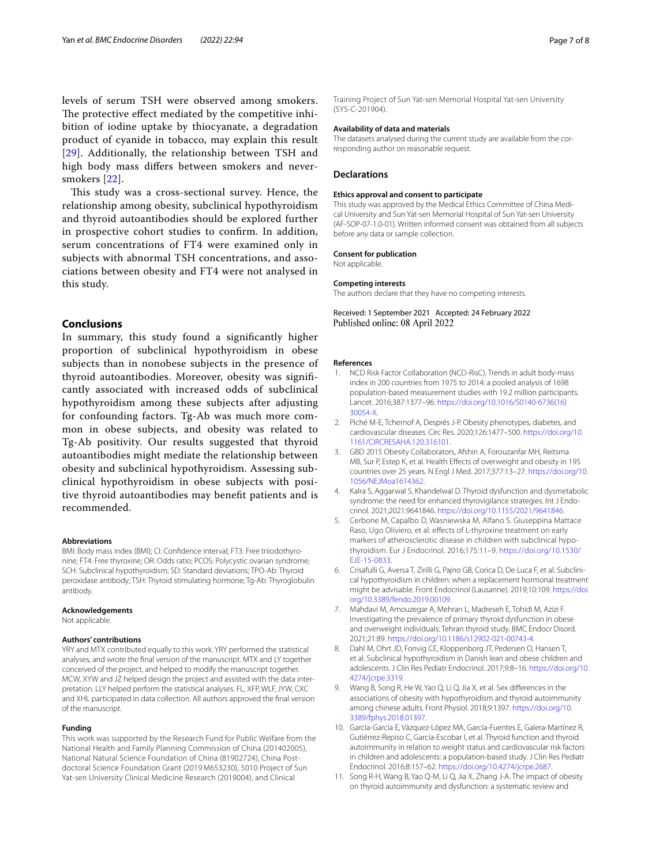levels of serum TSH were observed among smokers. The protective effect mediated by the competitive inhibition of iodine uptake by thiocyanate, a degradation product of cyanide in tobacco, may explain this result [[29](#page-7-16)]. Additionally, the relationship between TSH and high body mass difers between smokers and neversmokers [\[22\]](#page-7-17).

This study was a cross-sectional survey. Hence, the relationship among obesity, subclinical hypothyroidism and thyroid autoantibodies should be explored further in prospective cohort studies to confrm. In addition, serum concentrations of FT4 were examined only in subjects with abnormal TSH concentrations, and associations between obesity and FT4 were not analysed in this study.

## **Conclusions**

In summary, this study found a signifcantly higher proportion of subclinical hypothyroidism in obese subjects than in nonobese subjects in the presence of thyroid autoantibodies. Moreover, obesity was signifcantly associated with increased odds of subclinical hypothyroidism among these subjects after adjusting for confounding factors. Tg-Ab was much more common in obese subjects, and obesity was related to Tg-Ab positivity. Our results suggested that thyroid autoantibodies might mediate the relationship between obesity and subclinical hypothyroidism. Assessing subclinical hypothyroidism in obese subjects with positive thyroid autoantibodies may beneft patients and is recommended.

#### **Abbreviations**

BMI: Body mass index (BMI); CI: Confdence interval; FT3: Free triiodothyronine; FT4: Free thyroxine; OR: Odds ratio; PCOS: Polycystic ovarian syndrome; SCH: Subclinical hypothyroidism; SD: Standard deviations; TPO-Ab: Thyroid peroxidase antibody; TSH: Thyroid stimulating hormone; Tg-Ab: Thyroglobulin antibody.

## **Acknowledgements**

Not applicable.

## **Authors' contributions**

YRY and MTX contributed equally to this work. YRY performed the statistical analyses, and wrote the fnal version of the manuscript. MTX and LY together conceived of the project, and helped to modify the manuscript together. MCW, XYW and JZ helped design the project and assisted with the data interpretation. LLY helped perform the statistical analyses. FL, XFP, WLF, JYW, CXC and XHL participated in data collection. All authors approved the fnal version of the manuscript.

#### **Funding**

This work was supported by the Research Fund for Public Welfare from the National Health and Family Planning Commission of China (201402005), National Natural Science Foundation of China (81902724), China Postdoctoral Science Foundation Grant (2019 M653230), 5010 Project of Sun Yat-sen University Clinical Medicine Research (2019004), and Clinical

Training Project of Sun Yat-sen Memorial Hospital Yat-sen University (SYS-C-201904).

## **Availability of data and materials**

The datasets analysed during the current study are available from the corresponding author on reasonable request.

## **Declarations**

#### **Ethics approval and consent to participate**

This study was approved by the Medical Ethics Committee of China Medical University and Sun Yat-sen Memorial Hospital of Sun Yat-sen University (AF-SOP-07-1.0-01). Written informed consent was obtained from all subjects before any data or sample collection.

#### **Consent for publication** Not applicable.

#### **Competing interests**

The authors declare that they have no competing interests.

Received: 1 September 2021 Accepted: 24 February 2022 Published online: 08 April 2022

#### **References**

- <span id="page-6-0"></span>1. NCD Risk Factor Collaboration (NCD-RisC). Trends in adult body-mass index in 200 countries from 1975 to 2014: a pooled analysis of 1698 population-based measurement studies with 19.2 million participants. Lancet. 2016;387:1377–96. [https://doi.org/10.1016/S0140-6736\(16\)](https://doi.org/10.1016/S0140-6736(16)30054-X) [30054-X](https://doi.org/10.1016/S0140-6736(16)30054-X).
- <span id="page-6-1"></span>2. Piché M-E, Tchernof A, Després J-P. Obesity phenotypes, diabetes, and cardiovascular diseases. Circ Res. 2020;126:1477–500. [https://doi.org/10.](https://doi.org/10.1161/CIRCRESAHA.120.316101) [1161/CIRCRESAHA.120.316101.](https://doi.org/10.1161/CIRCRESAHA.120.316101)
- <span id="page-6-2"></span>3. GBD 2015 Obesity Collaborators, Afshin A, Forouzanfar MH, Reitsma MB, Sur P, Estep K, et al. Health Effects of overweight and obesity in 195 countries over 25 years. N Engl J Med. 2017;377:13–27. [https://doi.org/10.](https://doi.org/10.1056/NEJMoa1614362) [1056/NEJMoa1614362.](https://doi.org/10.1056/NEJMoa1614362)
- <span id="page-6-3"></span>4. Kalra S, Aggarwal S, Khandelwal D. Thyroid dysfunction and dysmetabolic syndrome: the need for enhanced thyrovigilance strategies. Int J Endocrinol. 2021;2021:9641846. [https://doi.org/10.1155/2021/9641846.](https://doi.org/10.1155/2021/9641846)
- <span id="page-6-4"></span>5. Cerbone M, Capalbo D, Wasniewska M, Alfano S. Giuseppina Mattace Raso, Ugo Oliviero, et al. effects of L-thyroxine treatment on early markers of atherosclerotic disease in children with subclinical hypothyroidism. Eur J Endocrinol. 2016;175:11–9. [https://doi.org/10.1530/](https://doi.org/10.1530/EJE-15-0833) [EJE-15-0833](https://doi.org/10.1530/EJE-15-0833).
- <span id="page-6-5"></span>6. Crisafulli G, Aversa T, Zirilli G, Pajno GB, Corica D, De Luca F, et al. Subclinical hypothyroidism in children: when a replacement hormonal treatment might be advisable. Front Endocrinol (Lausanne). 2019;10:109. [https://doi.](https://doi.org/10.3389/fendo.2019.00109) [org/10.3389/fendo.2019.00109](https://doi.org/10.3389/fendo.2019.00109).
- <span id="page-6-6"></span>7. Mahdavi M, Amouzegar A, Mehran L, Madreseh E, Tohidi M, Azizi F. Investigating the prevalence of primary thyroid dysfunction in obese and overweight individuals: Tehran thyroid study. BMC Endocr Disord. 2021;21:89. <https://doi.org/10.1186/s12902-021-00743-4>.
- <span id="page-6-7"></span>8. Dahl M, Ohrt JD, Fonvig CE, Kloppenborg JT, Pedersen O, Hansen T, et al. Subclinical hypothyroidism in Danish lean and obese children and adolescents. J Clin Res Pediatr Endocrinol. 2017;9:8–16. [https://doi.org/10.](https://doi.org/10.4274/jcrpe.3319) [4274/jcrpe.3319.](https://doi.org/10.4274/jcrpe.3319)
- <span id="page-6-8"></span>9. Wang B, Song R, He W, Yao Q, Li Q, Jia X, et al. Sex diferences in the associations of obesity with hypothyroidism and thyroid autoimmunity among chinese adults. Front Physiol. 2018;9:1397. [https://doi.org/10.](https://doi.org/10.3389/fphys.2018.01397) [3389/fphys.2018.01397.](https://doi.org/10.3389/fphys.2018.01397)
- <span id="page-6-9"></span>10. García-García E, Vázquez-López MA, García-Fuentes E, Galera-Martínez R, Gutiérrez-Repiso C, García-Escobar I, et al. Thyroid function and thyroid autoimmunity in relation to weight status and cardiovascular risk factors in children and adolescents: a population-based study. J Clin Res Pediatr Endocrinol. 2016;8:157–62. [https://doi.org/10.4274/jcrpe.2687.](https://doi.org/10.4274/jcrpe.2687)
- <span id="page-6-10"></span>11. Song R-H, Wang B, Yao Q-M, Li Q, Jia X, Zhang J-A. The impact of obesity on thyroid autoimmunity and dysfunction: a systematic review and